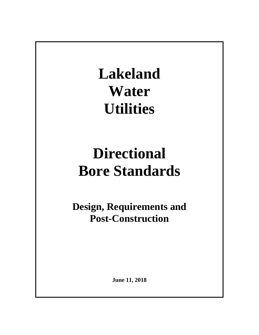**Lakeland Water Utilities**

# **Directional Bore Standards**

**Design, Requirements and Post-Construction**

**June 11, 2018**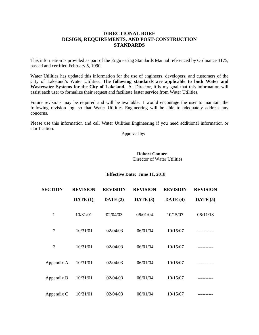# **DIRECTIONAL BORE DESIGN, REQUIREMENTS, AND POST-CONSTRUCTION STANDARDS**

This information is provided as part of the Engineering Standards Manual referenced by Ordinance 3175, passed and certified February 5, 1990.

Water Utilities has updated this information for the use of engineers, developers, and customers of the City of Lakeland's Water Utilities. **The following standards are applicable to both Water and**  Wastewater Systems for the City of Lakeland. As Director, it is my goal that this information will assist each user to formalize their request and facilitate faster service from Water Utilities.

Future revisions may be required and will be available. I would encourage the user to maintain the following revision log, so that Water Utilities Engineering will be able to adequately address any concerns.

Please use this information and call Water Utilities Engineering if you need additional information or clarification.

Approved by:

## **Robert Conner** Director of Water Utilities

## **Effective Date: June 11, 2018**

| <b>SECTION</b> | <b>REVISION</b>     | <b>REVISION</b> | <b>REVISION</b>   | <b>REVISION</b> | <b>REVISION</b>     |
|----------------|---------------------|-----------------|-------------------|-----------------|---------------------|
|                | $\textbf{DATE}$ (1) | DATE $(2)$      | $\bf{DATE}$ $(3)$ | DATE $(4)$      | $\textbf{DATE}$ (5) |
| 1              | 10/31/01            | 02/04/03        | 06/01/04          | 10/15/07        | 06/11/18            |
| $\overline{2}$ | 10/31/01            | 02/04/03        | 06/01/04          | 10/15/07        |                     |
| 3              | 10/31/01            | 02/04/03        | 06/01/04          | 10/15/07        |                     |
| Appendix A     | 10/31/01            | 02/04/03        | 06/01/04          | 10/15/07        |                     |
| Appendix B     | 10/31/01            | 02/04/03        | 06/01/04          | 10/15/07        |                     |
| Appendix C     | 10/31/01            | 02/04/03        | 06/01/04          | 10/15/07        |                     |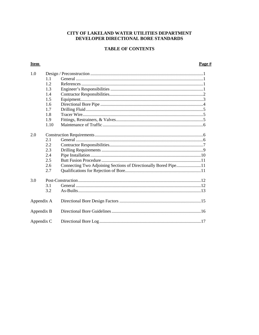# CITY OF LAKELAND WATER UTILITIES DEPARTMENT DEVELOPER DIRECTIONAL BORE STANDARDS

# **TABLE OF CONTENTS**

# **Item**

## Page #

| 1.0        |      |                                                                 |  |
|------------|------|-----------------------------------------------------------------|--|
|            | 1.1  |                                                                 |  |
|            | 1.2  |                                                                 |  |
|            | 1.3  |                                                                 |  |
|            | 1.4  |                                                                 |  |
|            | 1.5  |                                                                 |  |
|            | 1.6  |                                                                 |  |
|            | 1.7  |                                                                 |  |
|            | 1.8  |                                                                 |  |
|            | 1.9  |                                                                 |  |
|            | 1.10 |                                                                 |  |
|            |      |                                                                 |  |
| 2.0        |      |                                                                 |  |
|            | 2.1  |                                                                 |  |
|            | 2.2  |                                                                 |  |
|            | 2.3  |                                                                 |  |
|            | 2.4  |                                                                 |  |
|            | 2.5  |                                                                 |  |
|            | 2.6  | Connecting Two Adjoining Sections of Directionally Bored Pipe11 |  |
|            | 2.7  |                                                                 |  |
|            |      |                                                                 |  |
| 3.0        |      |                                                                 |  |
|            | 3.1  |                                                                 |  |
|            | 3.2  |                                                                 |  |
|            |      |                                                                 |  |
| Appendix A |      |                                                                 |  |
|            |      |                                                                 |  |
| Appendix B |      |                                                                 |  |
|            |      |                                                                 |  |
| Appendix C |      |                                                                 |  |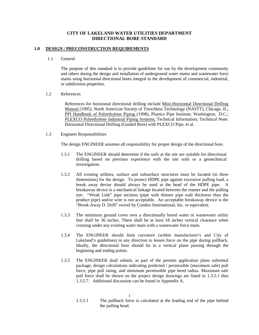## **CITY OF LAKELAND WATER UTILITIES DEPARTMENT DIRECTIONAL BORE STANDARD**

### **1.0 DESIGN / PRECONSTRUCTION REQUIREMENTS**

#### 1.1 General

The purpose of this standard is to provide guidelines for use by the development community and others during the design and installation of underground water mains and wastewater force mains using horizontal directional bores integral to the development of commercial, industrial, or subdivision properties.

#### 1.2 References

References for horizontal directional drilling include Mini-Horizontal Directional Drilling Manual (1995), North American Society of Trenchless Technology (NASTT), Chicago, IL; PPI Handbook of Polyethylene Piping (1998), Plastics Pipe Institute, Washington, D.C.; PLEXCO Polyethylene Industrial Piping Systems; Technical Information; Technical Note: Horizontal Directional Drilling (Guided Bore) with PLEXCO Pipe, et al.

#### 1.3 Engineer Responsibilities

The design ENGINEER assumes all responsibility for proper design of the directional bore.

- 1.3.1 The ENGINEER should determine if the soils at the site are suitable for directional drilling based on previous experience with the site soils or a geotechnical investigation.
- 1.3.2 All existing utilities, surface and subsurface structures must be located (in three dimensions) for the design. To protect HDPE pipe against excessive pulling load, a break away devise should always be used at the head of the HDPE pipe. A breakaway device is a mechanical linkage located between the reamer and the pulling eye. "Weak Link" pipe sections (pipe with thinner pipe wall thickness than the product pipe) and/or wire is not acceptable. An acceptable breakaway device is the "Break-Away D. Drill" swivel by Condux International, Inc. or equivalent.
- 1.3.3 The minimum ground cover over a directionally bored water or wastewater utility line shall be 36 inches. There shall be at least 18 inches vertical clearance when crossing under any existing water main with a wastewater force main.
- 1.3.4 The ENGINEER should limit curvature (within manufacturer's and City of Lakeland's guidelines) in any direction to lessen force on the pipe during pullback. Ideally, the directional bore should lie in a vertical plane passing through the beginning and ending points.
- 1.3.5 The ENGINEER shall submit, as part of the permits application plans submittal package, design calculations indicating predicted / permissible (maximum safe) pull force, pipe pull rating, and minimum permissible pipe bend radius. Maximum safe pull force shall be shown on the project design drawings are listed in 1.3.5.1 thru 1.3.5.7. Additional discussion can be found in Appendix A.

<sup>1.3.5.1</sup> The pullback force is calculated at the leading end of the pipe behind the pulling head.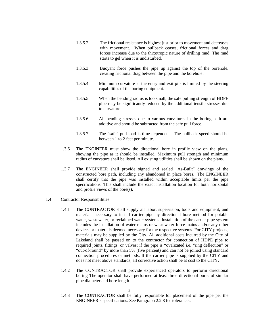- 1.3.5.2 The frictional resistance is highest just prior to movement and decreases with movement. When pullback ceases, frictional forces and drag forces increase due to the thixotropic nature of drilling mud. The mud starts to gel when it is undisturbed.
- 1.3.5.3 Buoyant force pushes the pipe up against the top of the borehole, creating frictional drag between the pipe and the borehole.
- 1.3.5.4 Minimum curvature at the entry and exit pits is limited by the steering capabilities of the boring equipment.
- 1.3.5.5 When the bending radius is too small, the safe pulling strength of HDPE pipe may be significantly reduced by the additional tensile stresses due to curvature.
- 1.3.5.6 All bending stresses due to various curvatures in the boring path are additive and should be subtracted from the safe pull force.
- 1.3.5.7 The "safe" pull-load is time dependent. The pullback speed should be between 1 to 2 feet per minute.
- 1.3.6 The ENGINEER must show the directional bore in profile view on the plans, showing the pipe as it should be installed. Maximum pull strength and minimum radius of curvature shall be listed. All existing utilities shall be shown on the plans.
- 1.3.7 The ENGINEER shall provide signed and sealed "As-Built" drawings of the constructed bore path, including any abandoned in place bores. The ENGINEER shall certify that the pipe was installed within acceptable limits per the pipe specifications. This shall include the exact installation location for both horizontal and profile views of the bore(s).
- 1.4 Contractor Responsibilities
	- 1.4.1 The CONTRACTOR shall supply all labor, supervision, tools and equipment, and materials necessary to install carrier pipe by directional bore method for potable water, wastewater, or reclaimed water systems. Installation of the carrier pipe system includes the installation of water mains or wastewater force mains and/or any other devices or materials deemed necessary for the respective systems. For CITY projects, materials may be supplied by the City. All additional costs incurred by the City of Lakeland shall be passed on to the contractor for connection of HDPE pipe to required joints, fittings, or valves; if the pipe is "ovalizated i.e. "ring deflection" or "out-of-round" by more than 5% (five percent) and can not be joined using standard connection procedures or methods. If the carrier pipe is supplied by the CITY and does not meet above standards, all corrective action shall be at cost to the CITY.
	- 1.4.2 The CONTRACTOR shall provide experienced operators to perform directional boring The operator shall have performed at least three directional bores of similar pipe diameter and bore length.

1.4.3 The CONTRACTOR shall be fully responsible for placement of the pipe per the ENGINEER's specifications. See Paragraph 2.2.8 for tolerances.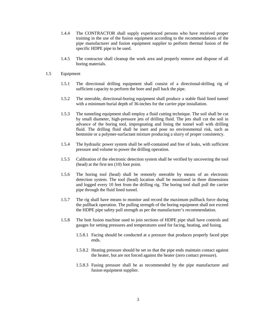- 1.4.4 The CONTRACTOR shall supply experienced persons who have received proper training in the use of the fusion equipment according to the recommendations of the pipe manufacturer and fusion equipment supplier to perform thermal fusion of the specific HDPE pipe to be used.
- 1.4.5 The contractor shall cleanup the work area and properly remove and dispose of all boring materials.
- 1.5 Equipment
	- 1.5.1 The directional drilling equipment shall consist of a directional-drilling rig of sufficient capacity to perform the bore and pull back the pipe.
	- 1.5.2 The steerable, directional-boring equipment shall produce a stable fluid lined tunnel with a minimum burial depth of 36-inches for the carrier pipe installation.
	- 1.5.3 The tunneling equipment shall employ a fluid cutting technique. The soil shall be cut by small diameter, high-pressure jets of drilling fluid. The jets shall cut the soil in advance of the boring tool, impregnating and lining the tunnel wall with drilling fluid. The drilling fluid shall be inert and pose no environmental risk, such as bentonite or a polymer-surfactant mixture producing a slurry of proper consistency.
	- 1.5.4 The hydraulic power system shall be self-contained and free of leaks, with sufficient pressure and volume to power the drilling operation.
	- 1.5.5 Calibration of the electronic detection system shall be verified by uncovering the tool (head) at the first ten (10) foot point.
	- 1.5.6 The boring tool (head) shall be remotely steerable by means of an electronic detection system. The tool (head) location shall be monitored in three dimensions and logged every 10 feet from the drilling rig. The boring tool shall pull the carrier pipe through the fluid lined tunnel.
	- 1.5.7 The rig shall have means to monitor and record the maximum pullback force during the pullback operation. The pulling strength of the boring equipment shall not exceed the HDPE pipe safety pull strength as per the manufacturer's recommendation.
	- 1.5.8 The butt fusion machine used to join sections of HDPE pipe shall have controls and gauges for setting pressures and temperatures used for facing, heating, and fusing.
		- 1.5.8.1 Facing should be conducted at a pressure that produces properly faced pipe ends.
		- 1.5.8.2 Heating pressure should be set so that the pipe ends maintain contact against the heater, but are not forced against the heater (zero contact pressure).
		- 1.5.8.3 Fusing pressure shall be as recommended by the pipe manufacturer and fusion equipment supplier.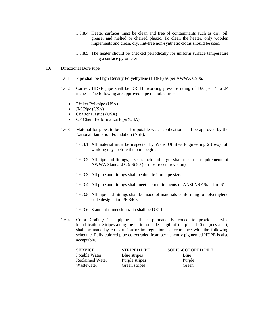- 1.5.8.4 Heater surfaces must be clean and free of contaminants such as dirt, oil, grease, and melted or charred plastic. To clean the heater, only wooden implements and clean, dry, lint-free non-synthetic cloths should be used.
- 1.5.8.5 The heater should be checked periodically for uniform surface temperature using a surface pyrometer.
- 1.6 Directional Bore Pipe
	- 1.6.1 Pipe shall be High Density Polyethylene (HDPE) as per AWWA C906.
	- 1.6.2 Carrier: HDPE pipe shall be DR 11, working pressure rating of 160 psi, 4 to 24 inches. The following are approved pipe manufacturers:
		- Rinker Polypipe (USA)
		- JM Pipe (USA)
		- Charter Plastics (USA)
		- CP Chem Performance Pipe (USA)
	- 1.6.3 Material for pipes to be used for potable water application shall be approved by the National Sanitation Foundation (NSF).
		- 1.6.3.1 All material must be inspected by Water Utilities Engineering 2 (two) full working days before the bore begins.
		- 1.6.3.2 All pipe and fittings, sizes 4 inch and larger shall meet the requirements of AWWA Standard C 906-90 (or most recent revision).
		- 1.6.3.3 All pipe and fittings shall be ductile iron pipe size.
		- 1.6.3.4 All pipe and fittings shall meet the requirements of ANSI NSF Standard 61.
		- 1.6.3.5 All pipe and fittings shall be made of materials conforming to polyethylene code designation PE 3408.
		- 1.6.3.6 Standard dimension ratio shall be DR11.
	- 1.6.4 Color Coding: The piping shall be permanently coded to provide service identification. Stripes along the entire outside length of the pipe, 120 degrees apart, shall be made by co-extrusion or impregnation in accordance with the following schedule. Fully colored pipe co-extruded from permanently pigmented HDPE is also acceptable.

| <b>SERVICE</b>         | <b>STRIPED PIPE</b> | <b>SOLID-COLORED PIPE</b> |
|------------------------|---------------------|---------------------------|
| Potable Water          | Blue stripes        | Blue                      |
| <b>Reclaimed Water</b> | Purple stripes      | Purple                    |
| Wastewater             | Green stripes       | Green                     |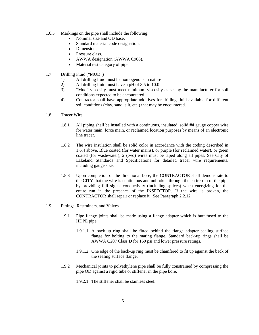- 1.6.5 Markings on the pipe shall include the following:
	- Nominal size and OD base.
	- Standard material code designation.
	- Dimension.
	- Pressure class.
	- AWWA designation (AWWA C906).
	- Material test category of pipe.
- 1.7 Drilling Fluid ("MUD")
	- 1) All drilling fluid must be homogenous in nature<br>2) All drilling fluid must have a pH of 8.5 to 10.0
	- All drilling fluid must have a pH of 8.5 to 10.0
	- 3) "Mud" viscosity must meet minimum viscosity as set by the manufacturer for soil conditions expected to be encountered
	- 4) Contractor shall have appropriate additives for drilling fluid available for different soil conditions (clay, sand, silt, etc.) that may be encountered.
- 1.8 Tracer Wire
	- **1.8.1** All piping shall be installed with a continuous, insulated, solid **#4** gauge copper wire for water main, force main, or reclaimed location purposes by means of an electronic line tracer.
	- 1.8.2 The wire insulation shall be solid color in accordance with the coding described in 1.6.4 above. Blue coated (for water mains), or purple (for reclaimed water), or green coated (for wastewater), 2 (two) wires must be taped along all pipes. See City of Lakeland Standards and Specifications for detailed tracer wire requirements, including gauge size.
	- 1.8.3 Upon completion of the directional bore, the CONTRACTOR shall demonstrate to the CITY that the wire is continuous and unbroken through the entire run of the pipe by providing full signal conductivity (including splices) when energizing for the entire run in the presence of the INSPECTOR. If the wire is broken, the CONTRACTOR shall repair or replace it. See Paragraph 2.2.12.
- 1.9 Fittings, Restrainers, and Valves
	- 1.9.1 Pipe flange joints shall be made using a flange adapter which is butt fused to the HDPE pipe.
		- 1.9.1.1 A back-up ring shall be fitted behind the flange adapter sealing surface flange for bolting to the mating flange. Standard back-up rings shall be AWWA C207 Class D for 160 psi and lower pressure ratings.
		- 1.9.1.2 One edge of the back-up ring must be chamfered to fit up against the back of the sealing surface flange.
	- 1.9.2 Mechanical joints to polyethylene pipe shall be fully constrained by compressing the pipe OD against a rigid tube or stiffener in the pipe bore.
		- 1.9.2.1 The stiffener shall be stainless steel.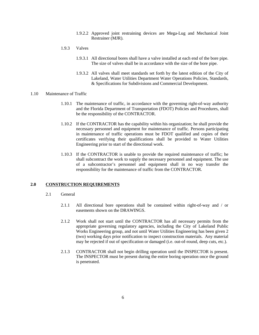- 1.9.2.2 Approved joint restraining devices are Mega-Lug and Mechanical Joint Restrainer (MJR).
- 1.9.3 Valves
	- 1.9.3.1 All directional bores shall have a valve installed at each end of the bore pipe. The size of valves shall be in accordance with the size of the bore pipe.
	- 1.9.3.2 All valves shall meet standards set forth by the latest edition of the City of Lakeland, Water Utilities Department Water Operations Policies, Standards, & Specifications for Subdivisions and Commercial Development.

#### 1.10 Maintenance of Traffic

- 1.10.1 The maintenance of traffic, in accordance with the governing right-of-way authority and the Florida Department of Transportation (FDOT) Policies and Procedures, shall be the responsibility of the CONTRACTOR.
- 1.10.2 If the CONTRACTOR has the capability within his organization; he shall provide the necessary personnel and equipment for maintenance of traffic. Persons participating in maintenance of traffic operations must be FDOT qualified and copies of their certificates verifying their qualifications shall be provided to Water Utilities Engineering prior to start of the directional work.
- 1.10.3 If the CONTRACTOR is unable to provide the required maintenance of traffic; he shall subcontract the work to supply the necessary personnel and equipment. The use of a subcontractor's personnel and equipment shall in no way transfer the responsibility for the maintenance of traffic from the CONTRACTOR.

#### **2.0 CONSTRUCTION REQUIREMENTS**

- 2.1 General
	- 2.1.1 All directional bore operations shall be contained within right-of-way and / or easements shown on the DRAWINGS.
	- 2.1.2 Work shall not start until the CONTRACTOR has all necessary permits from the appropriate governing regulatory agencies, including the City of Lakeland Public Works Engineering group, and not until Water Utilities Engineering has been given 2 (two) working days prior notification to inspect construction materials. Any material may be rejected if out of specification or damaged (i.e. out-of-round, deep cuts, etc.).
	- 2.1.3 CONTRACTOR shall not begin drilling operation until the INSPECTOR is present. The INSPECTOR must be present during the entire boring operation once the ground is penetrated.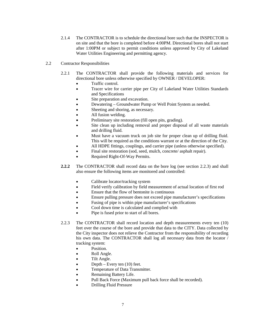- 2.1.4 The CONTRACTOR is to schedule the directional bore such that the INSPECTOR is on site and that the bore is completed before 4:00PM. Directional bores shall not start after 1:00PM or subject to permit conditions unless approved by City of Lakeland Water Utilities Engineering and permitting agency.
- 2.2 Contractor Responsibilities
	- 2.2.1 The CONTRACTOR shall provide the following materials and services for directional bore unless otherwise specified by OWNER / DEVELOPER:
		- Traffic control.
		- Tracer wire for carrier pipe per City of Lakeland Water Utilities Standards and Specifications
		- Site preparation and excavation.
		- Dewatering Groundwater Pump or Well Point System as needed.
		- Sheeting and shoring, as necessary.
		- All fusion welding.
		- Preliminary site restoration (fill open pits, grading).
		- Site clean up including removal and proper disposal of all waste materials and drilling fluid.
		- Must have a vacuum truck on job site for proper clean up of drilling fluid. This will be required as the conditions warrant or at the direction of the City.
		- All HDPE fittings, couplings, and carrier pipe (unless otherwise specified).
		- Final site restoration (sod, seed, mulch, concrete/ asphalt repair).
		- Required Right-Of-Way Permits.
	- **2.2.2** The CONTRACTOR shall record data on the bore log (see section 2.2.3) and shall also ensure the following items are monitored and controlled:
		- Calibrate locator/tracking system
		- Field verify calibration by field measurement of actual location of first rod
		- Ensure that the flow of bentonite is continuous
		- Ensure pulling pressure does not exceed pipe manufacturer's specifications
		- Fusing of pipe is within pipe manufacturer's specifications
		- Cool down time is calculated and complied with
		- Pipe is fused prior to start of all bores.
	- 2.2.3 The CONTRACTOR shall record location and depth measurements every ten (10) feet over the course of the bore and provide that data to the CITY. Data collected by the City inspector does not relieve the Contractor from the responsibility of recording his own data. The CONTRACTOR shall log all necessary data from the locator / tracking system:
		- Position.
		- Roll Angle.
		- Tilt Angle.
		- Depth Every ten  $(10)$  feet.
		- Temperature of Data Transmitter.
		- Remaining Battery Life.
		- Pull Back Force (Maximum pull back force shall be recorded).
		- Drilling Fluid Pressure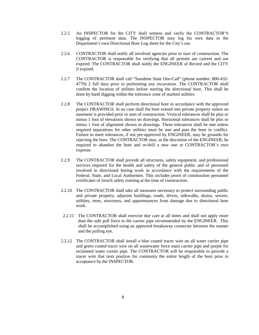- 2.2.5 An INSPECTOR for the CITY shall witness and verify the CONTRACTOR'S logging of pertinent data. The INSPECTOR may log his own data in the Department's own Directional Bore Log sheet for the City's use.
- 2.2.6 CONTRACTOR shall notify all involved agencies prior to start of construction. The CONTRACTOR is responsible for verifying that all permits are current and not expired. The CONTRACTOR shall notify the ENGINEER of Record and the CITY if expired.
- 2.2.7 The CONTRACTOR shall call "Sunshine State One-Call" (phone number: 800-432- 4770) 2 full days prior to performing any excavation. The CONTRACTOR shall confirm the location of utilities before starting the directional bore. This shall be done by hand digging within the tolerance zone of marked utilities.
- 2.2.8 The CONTRACTOR shall perform directional bore in accordance with the approved project DRAWINGS. In no case shall the bore extend into private property unless an easement is provided prior to start of construction. Vertical tolerances shall be plus or minus 1 foot of elevations shown on drawings. Horizontal tolerances shall be plus or minus 1 foot of alignment shown in drawings. These tolerances shall be met unless required separations for other utilities must be met and puts the bore in conflict. Failure to meet tolerances, if not pre-approved by ENGINEER, may be grounds for rejecting the bore. The CONTRACTOR may, at the discretion of the ENGINEER, be required to abandon the bore and re-drill a new one at CONTRACTOR's own expense.
- 2.2.9 The CONTRACTOR shall provide all structures, safety equipment, and professional services required for the health and safety of the general public and of personnel involved in directional boring work in accordance with the requirements of the Federal, State, and Local Authorities. This includes proof of construction personnel certificates of trench safety training at the time of construction.
- 2.2.10 The CONTRACTOR shall take all measures necessary to protect surrounding public and private property, adjacent buildings, roads, drives, sidewalks, drains, sewers, utilities, trees, structures, and appurtenances from damage due to directional bore work.
- 2.2.11 The CONTRACTOR shall exercise due care at all times and shall not apply more than the safe pull force to the carrier pipe recommended by the ENGINEER. This shall be accomplished using an approved breakaway connector between the reamer and the pulling eye.
- 2.2.12 The CONTRACTOR shall install a blue coated tracer wire on all water carrier pipe and green coated tracer wire on all wastewater force main carrier pipe and purple for reclaimed water carrier pipe. The CONTRACTOR will be responsible to provide a tracer wire that tests positive for continuity the entire length of the bore prior to acceptance by the INSPECTOR.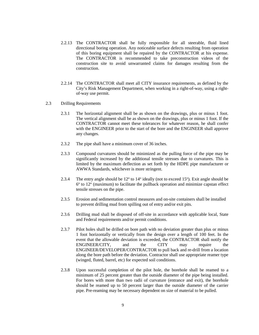- 2.2.13 The CONTRACTOR shall be fully responsible for all steerable, fluid lined directional boring operation. Any noticeable surface defects resulting from operation of this boring equipment shall be repaired by the CONTRACTOR at his expense. The CONTRACTOR is recommended to take preconstruction videos of the construction site to avoid unwarranted claims for damages resulting from the construction.
- 2.2.14 The CONTRACTOR shall meet all CITY insurance requirements, as defined by the City's Risk Management Department, when working in a right-of-way, using a rightof-way use permit.
- 2.3 Drilling Requirements
	- 2.3.1 The horizontal alignment shall be as shown on the drawings, plus or minus 1 foot. The vertical alignment shall be as shown on the drawings, plus or minus 1 foot. If the CONTRACTOR cannot meet these tolerances for whatever reason, he shall confer with the ENGINEER prior to the start of the bore and the ENGINEER shall approve any changes.
	- 2.3.2 The pipe shall have a minimum cover of 36 inches.
	- 2.3.3 Compound curvatures should be minimized as the pulling force of the pipe may be significantly increased by the additional tensile stresses due to curvatures. This is limited by the maximum deflection as set forth by the HDPE pipe manufacturer or AWWA Standards, whichever is more stringent.
	- 2.3.4 The entry angle should be  $12^{\circ}$  to  $14^{\circ}$  ideally (not to exceed 15 $^{\circ}$ ). Exit angle should be  $6^{\circ}$  to  $12^{\circ}$  (maximum) to facilitate the pullback operation and minimize capstan effect tensile stresses on the pipe.
	- 2.3.5 Erosion and sedimentation control measures and on-site containers shall be installed to prevent drilling mud from spilling out of entry and/or exit pits.
	- 2.3.6 Drilling mud shall be disposed of off-site in accordance with applicable local, State and Federal requirements and/or permit conditions.
	- 2.3.7 Pilot holes shall be drilled on bore path with no deviation greater than plus or minus 1 foot horizontally or vertically from the design over a length of 100 feet. In the event that the allowable deviation is exceeded, the CONTRACTOR shall notify the ENGINEER/CITY, and the CITY may require the ENGINEER/DEVELOPER/CONTRACTOR to pull back and re-drill from a location along the bore path before the deviation. Contractor shall use appropriate reamer type (winged, fluted, barrel, etc) for expected soil conditions.
	- 2.3.8 Upon successful completion of the pilot hole, the borehole shall be reamed to a minimum of 25 percent greater than the outside diameter of the pipe being installed. For bores with more than two radii of curvature (entrance and exit), the borehole should be reamed up to 50 percent larger than the outside diameter of the carrier pipe. Pre-reaming may be necessary dependent on size of material to be pulled.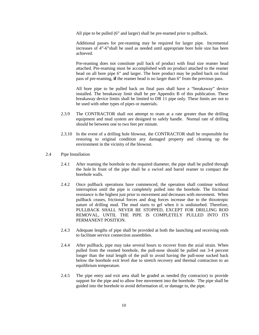All pipe to be pulled (6" and larger) shall be pre-reamed prior to pullback.

Additional passes for pre-reaming may be required for larger pipe. Incremental increases of 4"-6"shall be used as needed until appropriate bore hole size has been achieved.

Pre-reaming does not constitute pull back of product with final size reamer head attached. Pre-reaming must be accomplished with no product attached to the reamer head on all bore pipe 6" and larger. The bore product may be pulled back on final pass of pre-reaming, **if** the reamer head is no larger than 6" from the previous pass.

All bore pipe to be pulled back on final pass shall have a "breakaway" device installed. The breakaway limit shall be per Appendix B of this publication. These breakaway device limits shall be limited to DR 11 pipe only. These limits are not to be used with other types of pipes or materials.

- 2.3.9 The CONTRACTOR shall not attempt to ream at a rate greater than the drilling equipment and mud system are designed to safely handle. Normal rate of drilling should be between one to two feet per minute.
- 2.3.10 In the event of a drilling hole blowout, the CONTRACTOR shall be responsible for restoring to original condition any damaged property and cleaning up the environment in the vicinity of the blowout.
- 2.4 Pipe Installation
	- 2.4.1 After reaming the borehole to the required diameter, the pipe shall be pulled through the hole In front of the pipe shall be a swivel and barrel reamer to compact the borehole walls.
	- 2.4.2 Once pullback operations have commenced, the operation shall continue without interruption until the pipe is completely pulled into the borehole. The frictional resistance is the highest just prior to movement and decreases with movement. When pullback ceases, frictional forces and drag forces increase due to the thixotropic nature of drilling mud. The mud starts to gel when it is undisturbed. Therefore, PULLBACK SHALL NEVER BE STOPPED, EXCEPT FOR DRILLING ROD REMOVAL, UNTIL THE PIPE IS COMPLETELY PULLED INTO ITS PERMANENT POSITION.
	- 2.4.3 Adequate lengths of pipe shall be provided at both the launching and receiving ends to facilitate service connection assemblies.
	- 2.4.4 After pullback, pipe may take several hours to recover from the axial strain. When pulled from the reamed borehole, the pull-nose should be pulled out 3-4 percent longer than the total length of the pull to avoid having the pull-nose sucked back below the borehole exit level due to stretch recovery and thermal contraction to an equilibrium temperature.
	- 2.4.5 The pipe entry and exit area shall be graded as needed (by contractor) to provide support for the pipe and to allow free movement into the borehole. The pipe shall be guided into the borehole to avoid deformation of, or damage to, the pipe.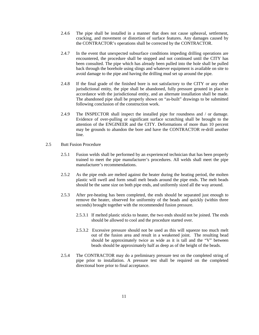- 2.4.6 The pipe shall be installed in a manner that does not cause upheaval, settlement, cracking, and movement or distortion of surface features. Any damages caused by the CONTRACTOR's operations shall be corrected by the CONTRACTOR.
- 2.4.7 In the event that unexpected subsurface conditions impeding drilling operations are encountered, the procedure shall be stopped and not continued until the CITY has been consulted. The pipe which has already been pulled into the hole shall be pulled back through the borehole using slings and whatever equipment is available on site to avoid damage to the pipe and having the drilling mud set up around the pipe.
- 2.4.8 If the final grade of the finished bore is not satisfactory to the CITY or any other jurisdictional entity, the pipe shall be abandoned, fully pressure grouted in place in accordance with the jurisdictional entity, and an alternate installation shall be made. The abandoned pipe shall be properly shown on "as-built" drawings to be submitted following conclusion of the construction work.
- 2.4.9 The INSPECTOR shall inspect the installed pipe for roundness and / or damage. Evidence of over-pulling or significant surface scratching shall be brought to the attention of the ENGINEER and the CITY. Deformations of more than 10 percent may be grounds to abandon the bore and have the CONTRACTOR re-drill another line.
- 2.5 Butt Fusion Procedure
	- 2.5.1 Fusion welds shall be performed by an experienced technician that has been properly trained to meet the pipe manufacturer's procedures. All welds shall meet the pipe manufacturer's recommendations.
	- 2.5.2 As the pipe ends are melted against the heater during the heating period, the molten plastic will swell and form small melt beads around the pipe ends. The melt beads should be the same size on both pipe ends, and uniformly sized all the way around.
	- 2.5.3 After pre-heating has been completed, the ends should be separated just enough to remove the heater, observed for uniformity of the beads and quickly (within three seconds) brought together with the recommended fusion pressure.
		- 2.5.3.1 If melted plastic sticks to heater, the two ends should not be joined. The ends should be allowed to cool and the procedure started over.
		- 2.5.3.2 Excessive pressure should not be used as this will squeeze too much melt out of the fusion area and result in a weakened joint. The resulting bead should be approximately twice as wide as it is tall and the "V" between beads should be approximately half as deep as of the height of the beads.
	- 2.5.4 The CONTRACTOR may do a preliminary pressure test on the completed string of pipe prior to installation. A pressure test shall be required on the completed directional bore prior to final acceptance.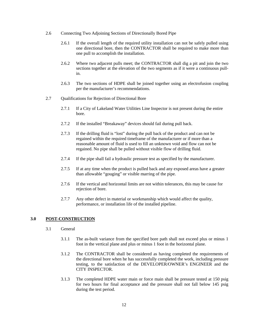- 2.6 Connecting Two Adjoining Sections of Directionally Bored Pipe
	- 2.6.1 If the overall length of the required utility installation can not be safely pulled using one directional bore, then the CONTRACTOR shall be required to make more than one pull to accomplish the installation.
	- 2.6.2 Where two adjacent pulls meet; the CONTRACTOR shall dig a pit and join the two sections together at the elevation of the two segments as if it were a continuous pullin.
	- 2.6.3 The two sections of HDPE shall be joined together using an electrofusion coupling per the manufacturer's recommendations.
- 2.7 Qualifications for Rejection of Directional Bore
	- 2.7.1 If a City of Lakeland Water Utilities Line Inspector is not present during the entire bore.
	- 2.7.2 If the installed "Breakaway" devices should fail during pull back.
	- 2.7.3 If the drilling fluid is "lost" during the pull back of the product and can not be regained within the required timeframe of the manufacturer or if more than a reasonable amount of fluid is used to fill an unknown void and flow can not be regained. No pipe shall be pulled without visible flow of drilling fluid.
	- 2.7.4 If the pipe shall fail a hydraulic pressure test as specified by the manufacturer.
	- 2.7.5 If at any time when the product is pulled back and any exposed areas have a greater than allowable "gouging" or visible marring of the pipe.
	- 2.7.6 If the vertical and horizontal limits are not within tolerances, this may be cause for rejection of bore.
	- 2.7.7 Any other defect in material or workmanship which would affect the quality, performance, or installation life of the installed pipeline.

#### **3.0 POST-CONSTRUCTION**

- 3.1 General
	- 3.1.1 The as-built variance from the specified bore path shall not exceed plus or minus 1 foot in the vertical plane and plus or minus 1 foot in the horizontal plane.
	- 3.1.2 The CONTRACTOR shall be considered as having completed the requirements of the directional bore when he has successfully completed the work, including pressure testing, to the satisfaction of the DEVELOPER/OWNER's ENGINEER and the CITY INSPECTOR.
	- 3.1.3 The completed HDPE water main or force main shall be pressure tested at 150 psig for two hours for final acceptance and the pressure shall not fall below 145 psig during the test period.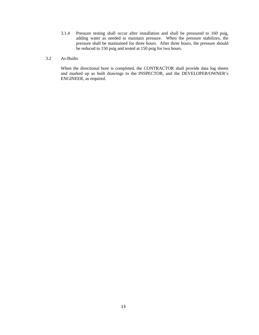- 3.1.4 Pressure testing shall occur after installation and shall be pressured to 160 psig, adding water as needed to maintain pressure. When the pressure stabilizes, the pressure shall be maintained for three hours. After three hours, the pressure should be reduced to 150 psig and tested at 150 psig for two hours.
- 3.2 As-Builts

When the directional bore is completed, the CONTRACTOR shall provide data log sheets and marked up as built drawings to the INSPECTOR, and the DEVELOPER/OWNER's ENGINEER, as required.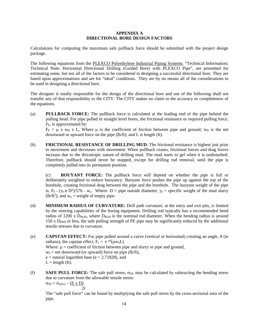#### **APPENDIX A DIRECTIONAL BORE DESIGN FACTORS**

Calculations for computing the maximum safe pullback force should be submitted with the project design package.

The following equations from the PLEXCO Polyethylene Industrial Piping Systems; "Technical Information; Technical Note: Horizontal Directional Drilling (Guided Bore) with PLEXCO Pipe", are presented for estimating some, but not all of the factors to be considered in designing a successful directional bore. They are based upon approximations and are for "ideal" conditions. They are by no means all of the considerations to be used in designing a directional bore.

The designer is totally responsible for the design of the directional bore and use of the following shall not transfer any of that responsibility to the CITY. The CITY makes no claim to the accuracy or completeness of the equations.

(a) **PULLBACK FORCE:** The pullback force is calculated at the leading end of the pipe behind the pulling head. For pipe pulled in straight level bores, the frictional resistance or required pulling force, FP, is approximated by:

 $F_P = \mu$  x w<sub>B</sub> x L, Where  $\mu$  is the coefficient of friction between pipe and ground; w<sub>B</sub> is the net downward or upward force on the pipe (lb/ft); and L is length (ft).

(b) **FRICTIONAL RESISTANCE OF DRILLING MUD**: The frictional resistance is highest just prior to movement and decreases with movement. When pullback ceases, frictional forces and drag forces increase due to the thixotropic nature of drilling mud. The mud starts to gel when it is undisturbed. Therefore, pullback should never be stopped, except for drilling rod removal, until the pipe is completely pulled into its permanent position.

(c) **BOUYANT FORCE:** The pullback force will depend on whether the pipe is full or deliberately weighted to reduce buoyancy. Buoyant force pushes the pipe up against the top of the borehole, creating frictional drag between the pipe and the borehole. The buoyant weight of the pipe is,  $F_b = (\gamma_b \pi D^2)/576$  - w<sub>a</sub>. Where: D = pipe outside diameter,  $\gamma_b$  = specific weight of the mud slurry (lb/ft<sup>3</sup>), and  $w_a$  = weight of empty pipe.

- (d) **MINIMUM RADIUS OF CURVATURE:** Drill path curvature, at the entry and exit pits, is limited by the steering capabilities of the boring equipment. Drilling rod typically has a recommended bend radius of 1200 x  $D_{ROD}$ , where  $D_{ROD}$  is the nominal rod diameter. When the bending radius is around 150 x DPIPE or less, the safe pulling strength of PE pipe may be significantly reduced by the additional tensile stresses due to curvature.
- (e) **CAPSTAN EFFECT:** For pipe pulled around a curve (vertical or horizontal) creating an angle, θ (in radians), the capstan effect,  $F_c = e^{\mu \theta}(\mu w_b L)$ Where:  $\mu$  = coefficient of friction between pipe and slurry or pipe and ground,  $w<sub>b</sub>$  = net downward (or upward) force on pipe (lb/ft),  $e$  = natural logarithm base ( $e$  = 2.71828), and  $L =$  length (ft).
- (f) **SAFE PULL FORCE:** The safe pull stress,  $\sigma_{SP}$ , may be calculated by subtracting the bending stress due to curvature from the allowable tensile stress:  $\sigma_{SP} = \sigma_{\text{allow}} - (\underline{E} \times \underline{D}).$

 $2r$ 

The "safe pull force" can be found by multiplying the safe pull stress by the cross-sectional area of the pipe.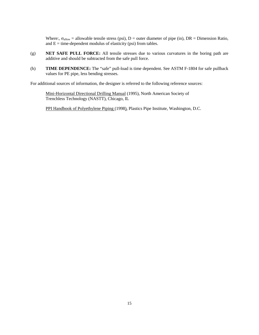Where:,  $\sigma_{\text{allow}} =$  allowable tensile stress (psi), D = outer diameter of pipe (in), DR = Dimension Ratio, and  $E =$  time-dependent modulus of elasticity (psi) from tables.

- (g) **NET SAFE PULL FORCE:** All tensile stresses due to various curvatures in the boring path are additive and should be subtracted from the safe pull force.
- (h) **TIME DEPENDENCE:** The "safe" pull-load is time dependent. See ASTM F-1804 for safe pullback values for PE pipe, less bending stresses.

For additional sources of information, the designer is referred to the following reference sources:

Mini-Horizontal Directional Drilling Manual (1995), North American Society of Trenchless Technology (NASTT), Chicago, IL

PPI Handbook of Polyethylene Piping (1998), Plastics Pipe Institute, Washington, D.C.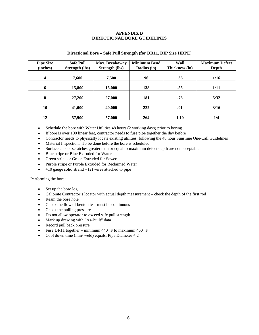## **APPENDIX B DIRECTIONAL BORE GUIDELINES**

| <b>Pipe Size</b><br>(inches) | <b>Safe Pull</b><br><b>Strength (lbs)</b> | Max. Breakaway<br><b>Strength (lbs)</b> | <b>Minimum Bend</b><br>Radius (in) | Wall<br>Thickness (in) | <b>Maximum Defect</b><br>Depth |
|------------------------------|-------------------------------------------|-----------------------------------------|------------------------------------|------------------------|--------------------------------|
| $\overline{\mathbf{4}}$      | 7,600                                     | 7,500                                   | 96                                 | .36                    | 1/16                           |
| 6                            | 15,800                                    | 15,000                                  | 138                                | .55                    | 1/11                           |
| 8                            | 27,200                                    | 27,000                                  | 181                                | .73                    | 5/32                           |
| 10                           | 41,000                                    | 40,000                                  | 222                                | .91                    | 3/16                           |
| 12                           | 57,900                                    | 57,000                                  | 264                                | 1.10                   | 1/4                            |

#### **Directional Bore – Safe Pull Strength (for DR11, DIP Size HDPE)**

- Schedule the bore with Water Utilities 48 hours (2 working days) prior to boring
- If bore is over 100 linear feet, contractor needs to fuse pipe together the day before
- Contractor needs to physically locate existing utilities, following the 48 hour Sunshine One-Call Guidelines
- Material Inspection: To be done before the bore is scheduled.
- Surface cuts or scratches greater than or equal to maximum defect depth are not acceptable
- Blue stripe or Blue Extruded for Water
- Green stripe or Green Extruded for Sewer
- Purple stripe or Purple Extruded for Reclaimed Water
- $\bullet$  #10 gauge solid strand (2) wires attached to pipe

#### Performing the bore:

- Set up the bore log
- Calibrate Contractor's locator with actual depth measurement check the depth of the first rod
- Ream the bore hole
- Check the flow of bentonite must be continuous
- Check the pulling pressure
- Do not allow operator to exceed safe pull strength
- Mark up drawing with "As-Built" data
- Record pull back pressure
- Fuse DR11 together minimum 440**°** F to maximum 460° F
- Cool down time (min/ weld) equals: Pipe Diameter  $\div 2$